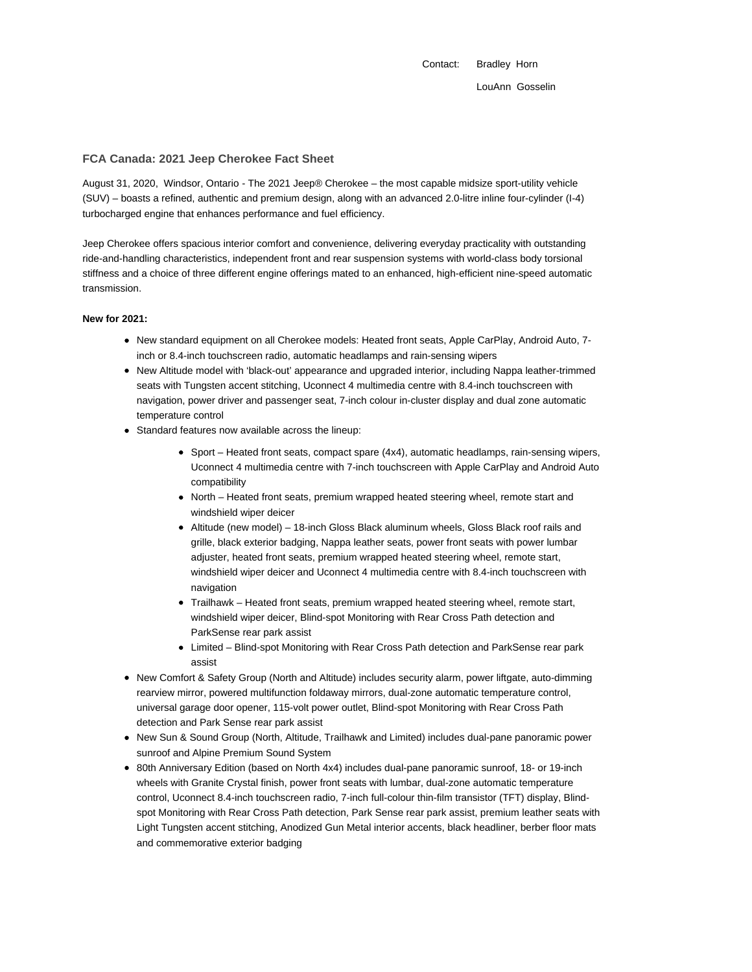Contact: Bradley Horn LouAnn Gosselin

## **FCA Canada: 2021 Jeep Cherokee Fact Sheet**

August 31, 2020, Windsor, Ontario - The 2021 Jeep® Cherokee – the most capable midsize sport-utility vehicle (SUV) – boasts a refined, authentic and premium design, along with an advanced 2.0-litre inline four-cylinder (I-4) turbocharged engine that enhances performance and fuel efficiency.

Jeep Cherokee offers spacious interior comfort and convenience, delivering everyday practicality with outstanding ride-and-handling characteristics, independent front and rear suspension systems with world-class body torsional stiffness and a choice of three different engine offerings mated to an enhanced, high-efficient nine-speed automatic transmission.

### **New for 2021:**

- New standard equipment on all Cherokee models: Heated front seats, Apple CarPlay, Android Auto, 7inch or 8.4-inch touchscreen radio, automatic headlamps and rain-sensing wipers
- New Altitude model with 'black-out' appearance and upgraded interior, including Nappa leather-trimmed seats with Tungsten accent stitching, Uconnect 4 multimedia centre with 8.4-inch touchscreen with navigation, power driver and passenger seat, 7-inch colour in-cluster display and dual zone automatic temperature control
- Standard features now available across the lineup:
	- Sport Heated front seats, compact spare (4x4), automatic headlamps, rain-sensing wipers, Uconnect 4 multimedia centre with 7-inch touchscreen with Apple CarPlay and Android Auto compatibility
	- North Heated front seats, premium wrapped heated steering wheel, remote start and windshield wiper deicer
	- Altitude (new model) 18-inch Gloss Black aluminum wheels, Gloss Black roof rails and grille, black exterior badging, Nappa leather seats, power front seats with power lumbar adjuster, heated front seats, premium wrapped heated steering wheel, remote start, windshield wiper deicer and Uconnect 4 multimedia centre with 8.4-inch touchscreen with navigation
	- Trailhawk Heated front seats, premium wrapped heated steering wheel, remote start, windshield wiper deicer, Blind-spot Monitoring with Rear Cross Path detection and ParkSense rear park assist
	- Limited Blind-spot Monitoring with Rear Cross Path detection and ParkSense rear park assist
- New Comfort & Safety Group (North and Altitude) includes security alarm, power liftgate, auto-dimming rearview mirror, powered multifunction foldaway mirrors, dual-zone automatic temperature control, universal garage door opener, 115-volt power outlet, Blind-spot Monitoring with Rear Cross Path detection and Park Sense rear park assist
- New Sun & Sound Group (North, Altitude, Trailhawk and Limited) includes dual-pane panoramic power sunroof and Alpine Premium Sound System
- 80th Anniversary Edition (based on North 4x4) includes dual-pane panoramic sunroof, 18- or 19-inch wheels with Granite Crystal finish, power front seats with lumbar, dual-zone automatic temperature control, Uconnect 8.4-inch touchscreen radio, 7-inch full-colour thin-film transistor (TFT) display, Blindspot Monitoring with Rear Cross Path detection, Park Sense rear park assist, premium leather seats with Light Tungsten accent stitching, Anodized Gun Metal interior accents, black headliner, berber floor mats and commemorative exterior badging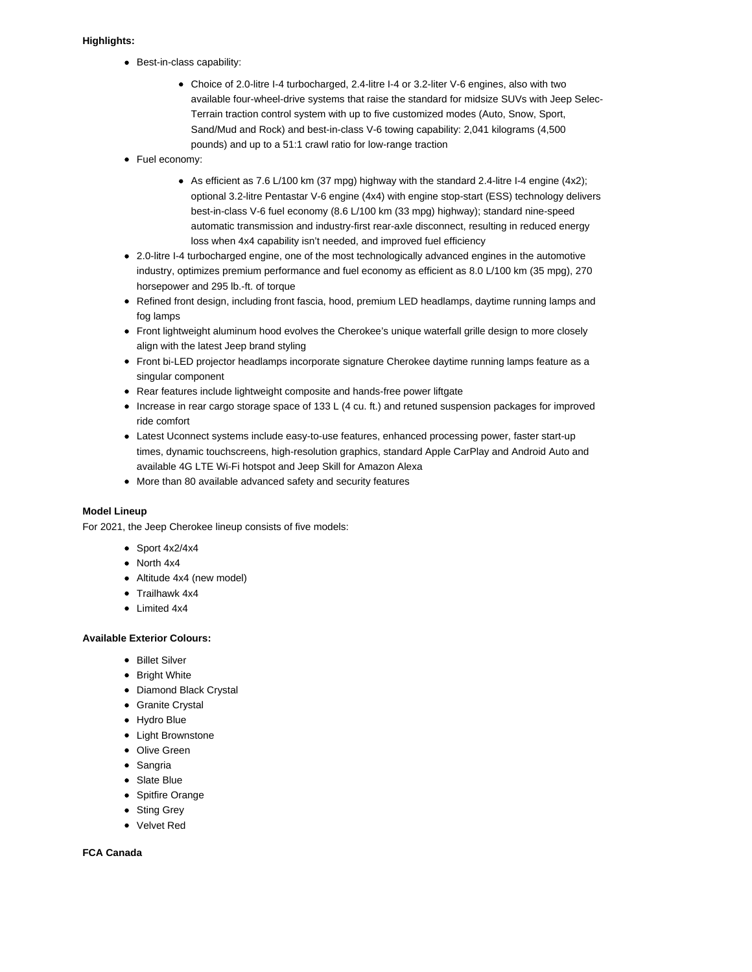# **Highlights:**

- Best-in-class capability:
	- Choice of 2.0-litre I-4 turbocharged, 2.4-litre I-4 or 3.2-liter V-6 engines, also with two available four-wheel-drive systems that raise the standard for midsize SUVs with Jeep Selec-Terrain traction control system with up to five customized modes (Auto, Snow, Sport, Sand/Mud and Rock) and best-in-class V-6 towing capability: 2,041 kilograms (4,500 pounds) and up to a 51:1 crawl ratio for low-range traction
- Fuel economy:
	- As efficient as 7.6 L/100 km (37 mpg) highway with the standard 2.4-litre I-4 engine  $(4x2)$ ; optional 3.2-litre Pentastar V-6 engine (4x4) with engine stop-start (ESS) technology delivers best-in-class V-6 fuel economy (8.6 L/100 km (33 mpg) highway); standard nine-speed automatic transmission and industry-first rear-axle disconnect, resulting in reduced energy loss when 4x4 capability isn't needed, and improved fuel efficiency
- 2.0-litre I-4 turbocharged engine, one of the most technologically advanced engines in the automotive industry, optimizes premium performance and fuel economy as efficient as 8.0 L/100 km (35 mpg), 270 horsepower and 295 lb.-ft. of torque
- Refined front design, including front fascia, hood, premium LED headlamps, daytime running lamps and fog lamps
- Front lightweight aluminum hood evolves the Cherokee's unique waterfall grille design to more closely align with the latest Jeep brand styling
- Front bi-LED projector headlamps incorporate signature Cherokee daytime running lamps feature as a singular component
- Rear features include lightweight composite and hands-free power liftgate
- Increase in rear cargo storage space of 133 L (4 cu. ft.) and retuned suspension packages for improved ride comfort
- Latest Uconnect systems include easy-to-use features, enhanced processing power, faster start-up times, dynamic touchscreens, high-resolution graphics, standard Apple CarPlay and Android Auto and available 4G LTE Wi-Fi hotspot and Jeep Skill for Amazon Alexa
- More than 80 available advanced safety and security features

# **Model Lineup**

For 2021, the Jeep Cherokee lineup consists of five models:

- $\bullet$  Sport 4x2/4x4
- North 4x4
- Altitude 4x4 (new model)
- Trailhawk 4x4
- Limited 4x4

### **Available Exterior Colours:**

- Billet Silver
- Bright White
- Diamond Black Crystal
- Granite Crystal
- Hydro Blue
- Light Brownstone
- Olive Green
- Sangria
- Slate Blue
- Spitfire Orange
- Sting Grey
- Velvet Red

## **FCA Canada**